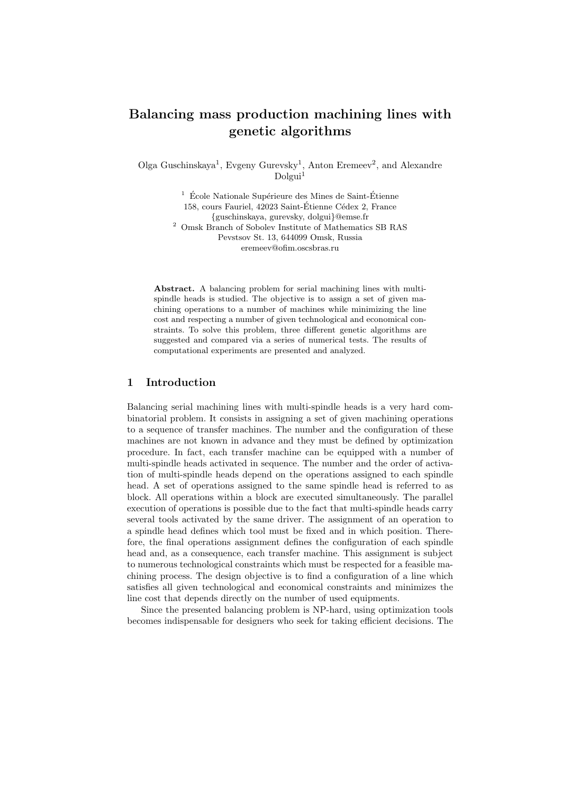# Balancing mass production machining lines with genetic algorithms

Olga Guschinskaya<sup>1</sup>, Evgeny Gurevsky<sup>1</sup>, Anton Eremeev<sup>2</sup>, and Alexandre Dolgui<sup>1</sup>

> $1 \nightharpoonup$  École Nationale Supérieure des Mines de Saint-Étienne 158, cours Fauriel, 42023 Saint-Étienne Cédex 2, France {guschinskaya, gurevsky, dolgui}@emse.fr <sup>2</sup> Omsk Branch of Sobolev Institute of Mathematics SB RAS Pevstsov St. 13, 644099 Omsk, Russia eremeev@ofim.oscsbras.ru

Abstract. A balancing problem for serial machining lines with multispindle heads is studied. The objective is to assign a set of given machining operations to a number of machines while minimizing the line cost and respecting a number of given technological and economical constraints. To solve this problem, three different genetic algorithms are suggested and compared via a series of numerical tests. The results of computational experiments are presented and analyzed.

# 1 Introduction

Balancing serial machining lines with multi-spindle heads is a very hard combinatorial problem. It consists in assigning a set of given machining operations to a sequence of transfer machines. The number and the configuration of these machines are not known in advance and they must be defined by optimization procedure. In fact, each transfer machine can be equipped with a number of multi-spindle heads activated in sequence. The number and the order of activation of multi-spindle heads depend on the operations assigned to each spindle head. A set of operations assigned to the same spindle head is referred to as block. All operations within a block are executed simultaneously. The parallel execution of operations is possible due to the fact that multi-spindle heads carry several tools activated by the same driver. The assignment of an operation to a spindle head defines which tool must be fixed and in which position. Therefore, the final operations assignment defines the configuration of each spindle head and, as a consequence, each transfer machine. This assignment is subject to numerous technological constraints which must be respected for a feasible machining process. The design objective is to find a configuration of a line which satisfies all given technological and economical constraints and minimizes the line cost that depends directly on the number of used equipments.

Since the presented balancing problem is NP-hard, using optimization tools becomes indispensable for designers who seek for taking efficient decisions. The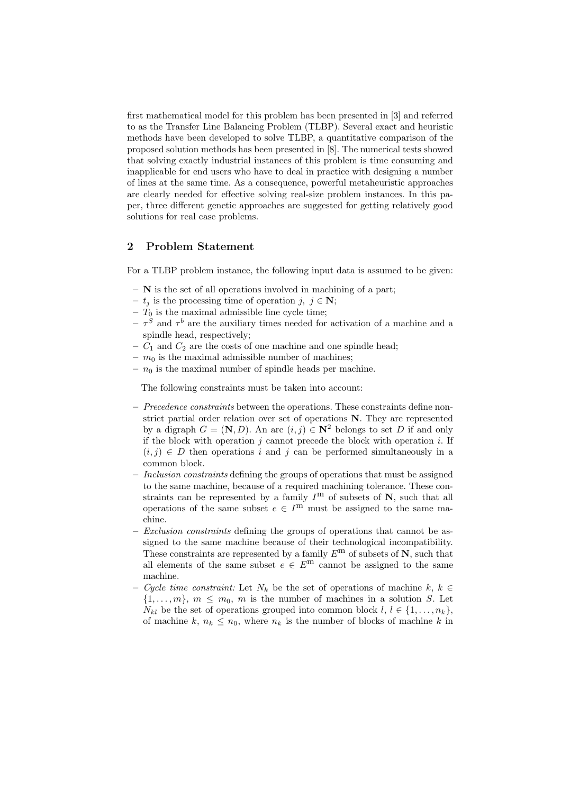first mathematical model for this problem has been presented in [3] and referred to as the Transfer Line Balancing Problem (TLBP). Several exact and heuristic methods have been developed to solve TLBP, a quantitative comparison of the proposed solution methods has been presented in [8]. The numerical tests showed that solving exactly industrial instances of this problem is time consuming and inapplicable for end users who have to deal in practice with designing a number of lines at the same time. As a consequence, powerful metaheuristic approaches are clearly needed for effective solving real-size problem instances. In this paper, three different genetic approaches are suggested for getting relatively good solutions for real case problems.

# 2 Problem Statement

For a TLBP problem instance, the following input data is assumed to be given:

- $-$  N is the set of all operations involved in machining of a part;
- $-t_i$  is the processing time of operation j,  $j \in \mathbb{N}$ ;
- $T_0$  is the maximal admissible line cycle time;
- $\tau<sup>S</sup>$  and  $\tau<sup>b</sup>$  are the auxiliary times needed for activation of a machine and a spindle head, respectively;
- $C_1$  and  $C_2$  are the costs of one machine and one spindle head;
- $m_0$  is the maximal admissible number of machines;
- $n_0$  is the maximal number of spindle heads per machine.

The following constraints must be taken into account:

- Precedence constraints between the operations. These constraints define nonstrict partial order relation over set of operations N. They are represented by a digraph  $G = (\mathbf{N}, D)$ . An arc  $(i, j) \in \mathbf{N}^2$  belongs to set D if and only if the block with operation j cannot precede the block with operation i. If  $(i, j) \in D$  then operations i and j can be performed simultaneously in a common block.
- Inclusion constraints defining the groups of operations that must be assigned to the same machine, because of a required machining tolerance. These constraints can be represented by a family  $I^{\text{m}}$  of subsets of N, such that all operations of the same subset  $e \in I^m$  must be assigned to the same machine.
- Exclusion constraints defining the groups of operations that cannot be assigned to the same machine because of their technological incompatibility. These constraints are represented by a family  $E^{\text{m}}$  of subsets of N, such that all elements of the same subset  $e \in E^m$  cannot be assigned to the same machine.
- Cycle time constraint: Let  $N_k$  be the set of operations of machine  $k, k \in$  $\{1, \ldots, m\}, m \leq m_0, m$  is the number of machines in a solution S. Let  $N_{kl}$  be the set of operations grouped into common block  $l, l \in \{1, \ldots, n_k\},\$ of machine k,  $n_k \leq n_0$ , where  $n_k$  is the number of blocks of machine k in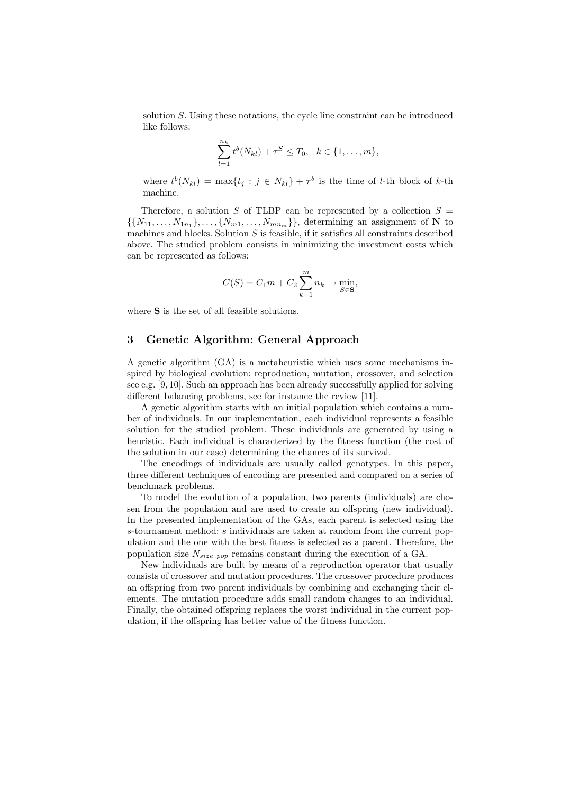solution S. Using these notations, the cycle line constraint can be introduced like follows:

$$
\sum_{l=1}^{n_k} t^b(N_{kl}) + \tau^S \le T_0, \ \ k \in \{1, \ldots, m\},\
$$

where  $t^b(N_{kl}) = \max\{t_j : j \in N_{kl}\} + \tau^b$  is the time of *l*-th block of *k*-th machine.

Therefore, a solution S of TLBP can be represented by a collection  $S =$  $\{\{N_{11},\ldots,N_{1n_1}\},\ldots,\{N_{m1},\ldots,N_{mn_m}\}\}\,$  determining an assignment of N to machines and blocks. Solution  $S$  is feasible, if it satisfies all constraints described above. The studied problem consists in minimizing the investment costs which can be represented as follows:

$$
C(S) = C_1 m + C_2 \sum_{k=1}^{m} n_k \to \min_{S \in \mathbf{S}}.
$$

where **S** is the set of all feasible solutions.

# 3 Genetic Algorithm: General Approach

A genetic algorithm (GA) is a metaheuristic which uses some mechanisms inspired by biological evolution: reproduction, mutation, crossover, and selection see e.g. [9, 10]. Such an approach has been already successfully applied for solving different balancing problems, see for instance the review [11].

A genetic algorithm starts with an initial population which contains a number of individuals. In our implementation, each individual represents a feasible solution for the studied problem. These individuals are generated by using a heuristic. Each individual is characterized by the fitness function (the cost of the solution in our case) determining the chances of its survival.

The encodings of individuals are usually called genotypes. In this paper, three different techniques of encoding are presented and compared on a series of benchmark problems.

To model the evolution of a population, two parents (individuals) are chosen from the population and are used to create an offspring (new individual). In the presented implementation of the GAs, each parent is selected using the s-tournament method: s individuals are taken at random from the current population and the one with the best fitness is selected as a parent. Therefore, the population size  $N_{size\_pop}$  remains constant during the execution of a GA.

New individuals are built by means of a reproduction operator that usually consists of crossover and mutation procedures. The crossover procedure produces an offspring from two parent individuals by combining and exchanging their elements. The mutation procedure adds small random changes to an individual. Finally, the obtained offspring replaces the worst individual in the current population, if the offspring has better value of the fitness function.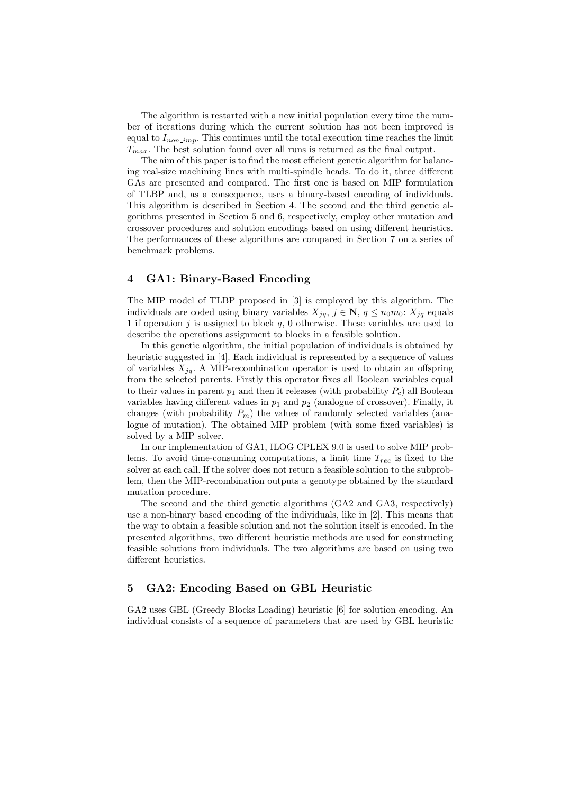The algorithm is restarted with a new initial population every time the number of iterations during which the current solution has not been improved is equal to  $I_{non\_imp}$ . This continues until the total execution time reaches the limit  $T_{max}$ . The best solution found over all runs is returned as the final output.

The aim of this paper is to find the most efficient genetic algorithm for balancing real-size machining lines with multi-spindle heads. To do it, three different GAs are presented and compared. The first one is based on MIP formulation of TLBP and, as a consequence, uses a binary-based encoding of individuals. This algorithm is described in Section 4. The second and the third genetic algorithms presented in Section 5 and 6, respectively, employ other mutation and crossover procedures and solution encodings based on using different heuristics. The performances of these algorithms are compared in Section 7 on a series of benchmark problems.

# 4 GA1: Binary-Based Encoding

The MIP model of TLBP proposed in [3] is employed by this algorithm. The individuals are coded using binary variables  $X_{jq}$ ,  $j \in \mathbb{N}$ ,  $q \leq n_0 m_0$ :  $X_{jq}$  equals 1 if operation  $j$  is assigned to block  $q$ , 0 otherwise. These variables are used to describe the operations assignment to blocks in a feasible solution.

In this genetic algorithm, the initial population of individuals is obtained by heuristic suggested in [4]. Each individual is represented by a sequence of values of variables  $X_{jq}$ . A MIP-recombination operator is used to obtain an offspring from the selected parents. Firstly this operator fixes all Boolean variables equal to their values in parent  $p_1$  and then it releases (with probability  $P_c$ ) all Boolean variables having different values in  $p_1$  and  $p_2$  (analogue of crossover). Finally, it changes (with probability  $P_m$ ) the values of randomly selected variables (analogue of mutation). The obtained MIP problem (with some fixed variables) is solved by a MIP solver.

In our implementation of GA1, ILOG CPLEX 9.0 is used to solve MIP problems. To avoid time-consuming computations, a limit time  $T_{rec}$  is fixed to the solver at each call. If the solver does not return a feasible solution to the subproblem, then the MIP-recombination outputs a genotype obtained by the standard mutation procedure.

The second and the third genetic algorithms (GA2 and GA3, respectively) use a non-binary based encoding of the individuals, like in [2]. This means that the way to obtain a feasible solution and not the solution itself is encoded. In the presented algorithms, two different heuristic methods are used for constructing feasible solutions from individuals. The two algorithms are based on using two different heuristics.

# 5 GA2: Encoding Based on GBL Heuristic

GA2 uses GBL (Greedy Blocks Loading) heuristic [6] for solution encoding. An individual consists of a sequence of parameters that are used by GBL heuristic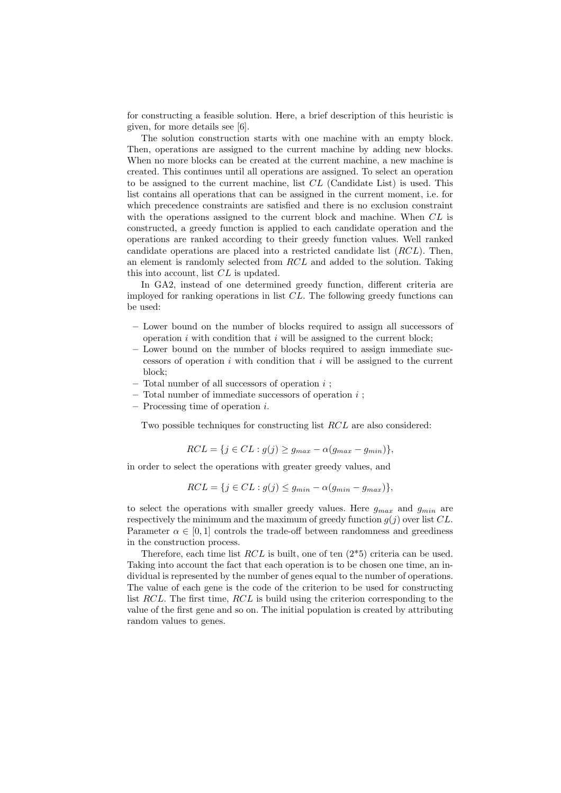for constructing a feasible solution. Here, a brief description of this heuristic is given, for more details see [6].

The solution construction starts with one machine with an empty block. Then, operations are assigned to the current machine by adding new blocks. When no more blocks can be created at the current machine, a new machine is created. This continues until all operations are assigned. To select an operation to be assigned to the current machine, list CL (Candidate List) is used. This list contains all operations that can be assigned in the current moment, i.e. for which precedence constraints are satisfied and there is no exclusion constraint with the operations assigned to the current block and machine. When  $CL$  is constructed, a greedy function is applied to each candidate operation and the operations are ranked according to their greedy function values. Well ranked candidate operations are placed into a restricted candidate list  $(RCL)$ . Then, an element is randomly selected from RCL and added to the solution. Taking this into account, list CL is updated.

In GA2, instead of one determined greedy function, different criteria are imployed for ranking operations in list  $CL$ . The following greedy functions can be used:

- Lower bound on the number of blocks required to assign all successors of operation  $i$  with condition that  $i$  will be assigned to the current block;
- Lower bound on the number of blocks required to assign immediate successors of operation  $i$  with condition that  $i$  will be assigned to the current block;
- $-$  Total number of all successors of operation  $i$ ;
- Total number of immediate successors of operation i ;
- $-$  Processing time of operation  $i$ .

Two possible techniques for constructing list RCL are also considered:

$$
RCL = \{ j \in CL : g(j) \ge g_{max} - \alpha (g_{max} - g_{min}) \},
$$

in order to select the operations with greater greedy values, and

$$
RCL = \{ j \in CL : g(j) \le g_{min} - \alpha (g_{min} - g_{max}) \},
$$

to select the operations with smaller greedy values. Here  $g_{max}$  and  $g_{min}$  are respectively the minimum and the maximum of greedy function  $g(j)$  over list CL. Parameter  $\alpha \in [0, 1]$  controls the trade-off between randomness and greediness in the construction process.

Therefore, each time list  $RCL$  is built, one of ten  $(2*5)$  criteria can be used. Taking into account the fact that each operation is to be chosen one time, an individual is represented by the number of genes equal to the number of operations. The value of each gene is the code of the criterion to be used for constructing list RCL. The first time, RCL is build using the criterion corresponding to the value of the first gene and so on. The initial population is created by attributing random values to genes.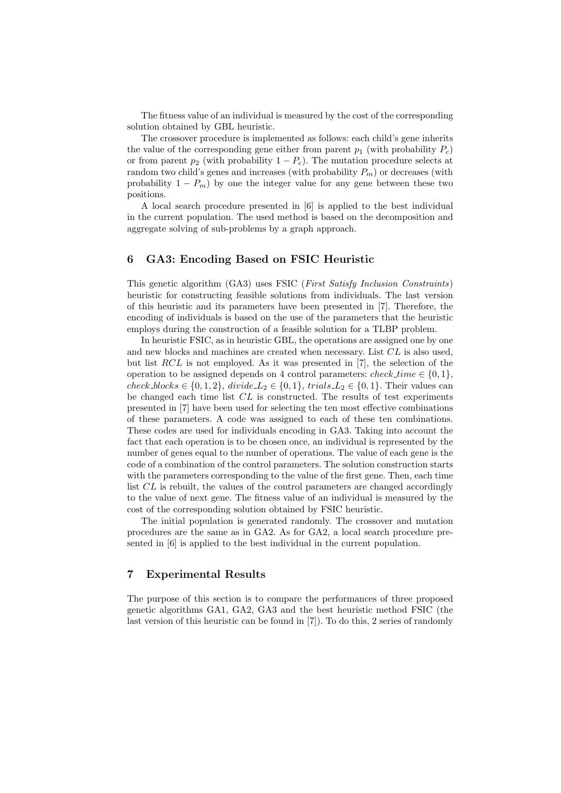The fitness value of an individual is measured by the cost of the corresponding solution obtained by GBL heuristic.

The crossover procedure is implemented as follows: each child's gene inherits the value of the corresponding gene either from parent  $p_1$  (with probability  $P_c$ ) or from parent  $p_2$  (with probability  $1 - P_c$ ). The mutation procedure selects at random two child's genes and increases (with probability  $P_m$ ) or decreases (with probability  $1 - P_m$ ) by one the integer value for any gene between these two positions.

A local search procedure presented in [6] is applied to the best individual in the current population. The used method is based on the decomposition and aggregate solving of sub-problems by a graph approach.

#### 6 GA3: Encoding Based on FSIC Heuristic

This genetic algorithm (GA3) uses FSIC (First Satisfy Inclusion Constraints) heuristic for constructing feasible solutions from individuals. The last version of this heuristic and its parameters have been presented in [7]. Therefore, the encoding of individuals is based on the use of the parameters that the heuristic employs during the construction of a feasible solution for a TLBP problem.

In heuristic FSIC, as in heuristic GBL, the operations are assigned one by one and new blocks and machines are created when necessary. List CL is also used, but list RCL is not employed. As it was presented in [7], the selection of the operation to be assigned depends on 4 control parameters: check time  $\in \{0, 1\}$ , check blocks  $\in \{0, 1, 2\}$ , divide  $L_2 \in \{0, 1\}$ , trials  $L_2 \in \{0, 1\}$ . Their values can be changed each time list  $CL$  is constructed. The results of test experiments presented in [7] have been used for selecting the ten most effective combinations of these parameters. A code was assigned to each of these ten combinations. These codes are used for individuals encoding in GA3. Taking into account the fact that each operation is to be chosen once, an individual is represented by the number of genes equal to the number of operations. The value of each gene is the code of a combination of the control parameters. The solution construction starts with the parameters corresponding to the value of the first gene. Then, each time list CL is rebuilt, the values of the control parameters are changed accordingly to the value of next gene. The fitness value of an individual is measured by the cost of the corresponding solution obtained by FSIC heuristic.

The initial population is generated randomly. The crossover and mutation procedures are the same as in GA2. As for GA2, a local search procedure presented in [6] is applied to the best individual in the current population.

#### 7 Experimental Results

The purpose of this section is to compare the performances of three proposed genetic algorithms GA1, GA2, GA3 and the best heuristic method FSIC (the last version of this heuristic can be found in [7]). To do this, 2 series of randomly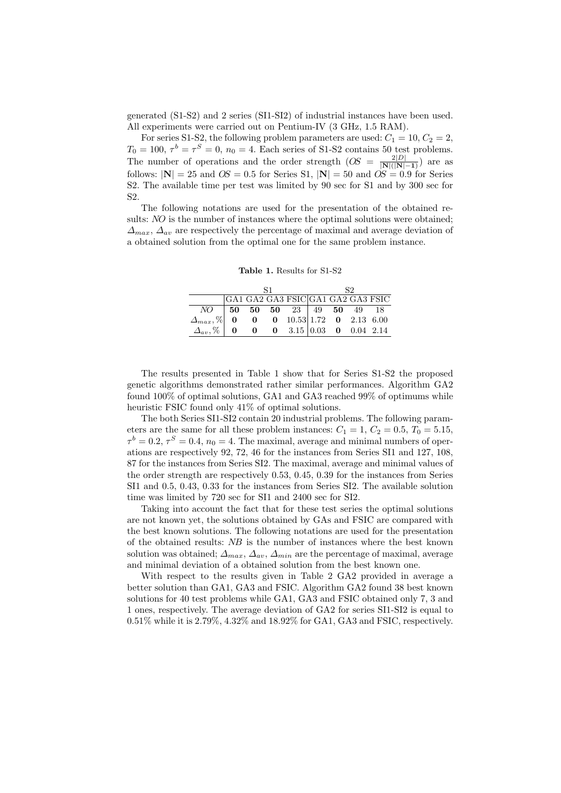generated (S1-S2) and 2 series (SI1-SI2) of industrial instances have been used. All experiments were carried out on Pentium-IV (3 GHz, 1.5 RAM).

For series S1-S2, the following problem parameters are used:  $C_1 = 10, C_2 = 2$ ,  $T_0 = 100, \tau^b = \tau^S = 0, n_0 = 4$ . Each series of S1-S2 contains 50 test problems. The number of operations and the order strength  $(S = \frac{2|D|}{|N|(|N|-1)})$  are as follows:  $|\mathbf{N}| = 25$  and  $OS = 0.5$  for Series S1,  $|\mathbf{N}| = 50$  and  $OS = 0.9$  for Series S2. The available time per test was limited by 90 sec for S1 and by 300 sec for S2.

The following notations are used for the presentation of the obtained results: NO is the number of instances where the optimal solutions were obtained;  $\Delta_{max}$ ,  $\Delta_{av}$  are respectively the percentage of maximal and average deviation of a obtained solution from the optimal one for the same problem instance.

Table 1. Results for S1-S2

|                                                                                                                                                                                                                                                                                                                                                                                                         | 81 |  |  |                                   | 82 |  |  |  |
|---------------------------------------------------------------------------------------------------------------------------------------------------------------------------------------------------------------------------------------------------------------------------------------------------------------------------------------------------------------------------------------------------------|----|--|--|-----------------------------------|----|--|--|--|
|                                                                                                                                                                                                                                                                                                                                                                                                         |    |  |  | GA1 GA2 GA3 FSIC GA1 GA2 GA3 FSIC |    |  |  |  |
|                                                                                                                                                                                                                                                                                                                                                                                                         |    |  |  |                                   |    |  |  |  |
|                                                                                                                                                                                                                                                                                                                                                                                                         |    |  |  |                                   |    |  |  |  |
| $\begin{tabular}{ c cccc } \hline $NO$ & $\bf{50}$ & $\bf{50}$ & $\bf{50}$ & $\bf{23}$ & $\bf{49}$ & $\bf{50}$ & $\bf{49}$ & $\bf{18}$ \\ \hline $\Delta_{max},\%$ & $\bf{0}$ & $\bf{0}$ & $\bf{0}$ & $\bf{10.53}$ & $\bf{1.72}$ & $\bf{0}$ & $\bf{2.13}$ & $\bf{6.00}$ \\ $\Delta_{av},\%$ & $\bf{0}$ & $\bf{0}$ & $\bf{0}$ & $\bf{0.3.15}$ & $\bf{0.03}$ & $\bf{0}$ & $\bf{0.04}$ & $\bf{2.14}$ \\ \$ |    |  |  |                                   |    |  |  |  |

The results presented in Table 1 show that for Series S1-S2 the proposed genetic algorithms demonstrated rather similar performances. Algorithm GA2 found 100% of optimal solutions, GA1 and GA3 reached 99% of optimums while heuristic FSIC found only 41% of optimal solutions.

The both Series SI1-SI2 contain 20 industrial problems. The following parameters are the same for all these problem instances:  $C_1 = 1$ ,  $C_2 = 0.5$ ,  $T_0 = 5.15$ ,  $\tau^{b} = 0.2, \tau^{S} = 0.4, n_{0} = 4$ . The maximal, average and minimal numbers of operations are respectively 92, 72, 46 for the instances from Series SI1 and 127, 108, 87 for the instances from Series SI2. The maximal, average and minimal values of the order strength are respectively 0.53, 0.45, 0.39 for the instances from Series SI1 and 0.5, 0.43, 0.33 for the instances from Series SI2. The available solution time was limited by 720 sec for SI1 and 2400 sec for SI2.

Taking into account the fact that for these test series the optimal solutions are not known yet, the solutions obtained by GAs and FSIC are compared with the best known solutions. The following notations are used for the presentation of the obtained results: NB is the number of instances where the best known solution was obtained;  $\Delta_{max}$ ,  $\Delta_{av}$ ,  $\Delta_{min}$  are the percentage of maximal, average and minimal deviation of a obtained solution from the best known one.

With respect to the results given in Table 2 GA2 provided in average a better solution than GA1, GA3 and FSIC. Algorithm GA2 found 38 best known solutions for 40 test problems while GA1, GA3 and FSIC obtained only 7, 3 and 1 ones, respectively. The average deviation of GA2 for series SI1-SI2 is equal to 0.51% while it is 2.79%, 4.32% and 18.92% for GA1, GA3 and FSIC, respectively.